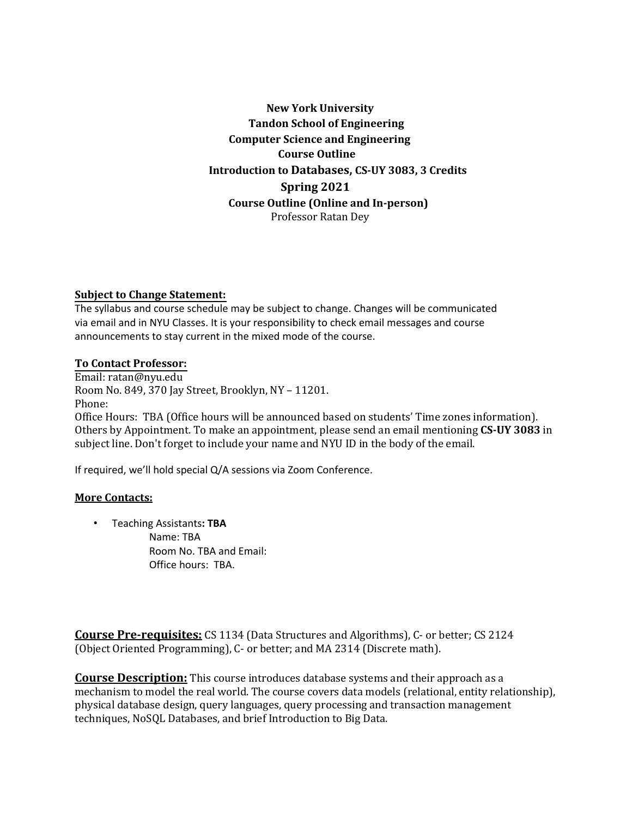**New York University Tandon School of Engineering Computer Science and Engineering Course Outline Introduction to Databases, CS-UY 3083, 3 Credits Spring 2021 Course Outline (Online and In-person)** Professor Ratan Dey

### **Subject to Change Statement:**

The syllabus and course schedule may be subject to change. Changes will be communicated via email and in NYU Classes. It is your responsibility to check email messages and course announcements to stay current in the mixed mode of the course.

### **To Contact Professor:**

Email: ratan@nyu.edu Room No. 849, 370 Jay Street, Brooklyn, NY - 11201. Phone: Office Hours: TBA (Office hours will be announced based on students' Time zones information). Others by Appointment. To make an appointment, please send an email mentioning **CS-UY 3083** in subject line. Don't forget to include your name and NYU ID in the body of the email.

If required, we'll hold special Q/A sessions via Zoom Conference.

### **More Contacts:**

• Teaching Assistants**: TBA** Name: TBA Room No. TBA and Email: Office hours: TBA.

**Course Pre-requisites:** CS 1134 (Data Structures and Algorithms), C- or better; CS 2124 (Object Oriented Programming), C- or better; and MA 2314 (Discrete math).

**Course Description:** This course introduces database systems and their approach as a mechanism to model the real world. The course covers data models (relational, entity relationship), physical database design, query languages, query processing and transaction management techniques, NoSQL Databases, and brief Introduction to Big Data.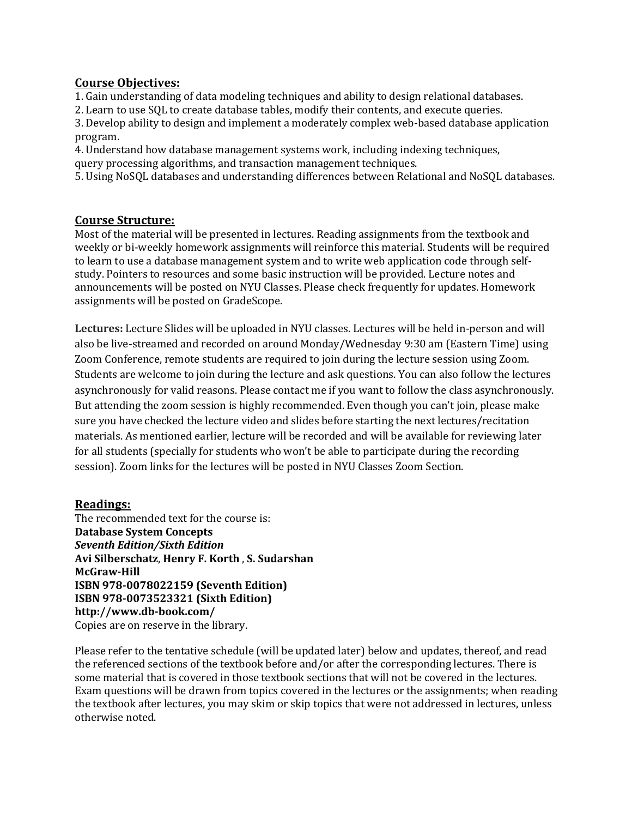# **Course Objectives:**

1. Gain understanding of data modeling techniques and ability to design relational databases.

2. Learn to use SQL to create database tables, modify their contents, and execute queries.

3. Develop ability to design and implement a moderately complex web-based database application program.

4. Understand how database management systems work, including indexing techniques, query processing algorithms, and transaction management techniques.

5. Using NoSQL databases and understanding differences between Relational and NoSQL databases.

## **Course Structure:**

Most of the material will be presented in lectures. Reading assignments from the textbook and weekly or bi-weekly homework assignments will reinforce this material. Students will be required to learn to use a database management system and to write web application code through selfstudy. Pointers to resources and some basic instruction will be provided. Lecture notes and announcements will be posted on NYU Classes. Please check frequently for updates. Homework assignments will be posted on GradeScope.

Lectures: Lecture Slides will be uploaded in NYU classes. Lectures will be held in-person and will also be live-streamed and recorded on around Monday/Wednesday 9:30 am (Eastern Time) using Zoom Conference, remote students are required to join during the lecture session using Zoom. Students are welcome to join during the lecture and ask questions. You can also follow the lectures asynchronously for valid reasons. Please contact me if you want to follow the class asynchronously. But attending the zoom session is highly recommended. Even though you can't join, please make sure you have checked the lecture video and slides before starting the next lectures/recitation materials. As mentioned earlier, lecture will be recorded and will be available for reviewing later for all students (specially for students who won't be able to participate during the recording session). Zoom links for the lectures will be posted in NYU Classes Zoom Section.

## **Readings:**

The recommended text for the course is: **Database System Concepts** *Seventh Edition/Sixth Edition* **Avi Silberschatz**, **Henry F. Korth** , **S. Sudarshan McGraw-Hill ISBN 978-0078022159 (Seventh Edition) ISBN 978-0073523321 (Sixth Edition) http://www.db-book.com/** Copies are on reserve in the library.

Please refer to the tentative schedule (will be updated later) below and updates, thereof, and read the referenced sections of the textbook before and/or after the corresponding lectures. There is some material that is covered in those textbook sections that will not be covered in the lectures. Exam questions will be drawn from topics covered in the lectures or the assignments; when reading the textbook after lectures, you may skim or skip topics that were not addressed in lectures, unless otherwise noted.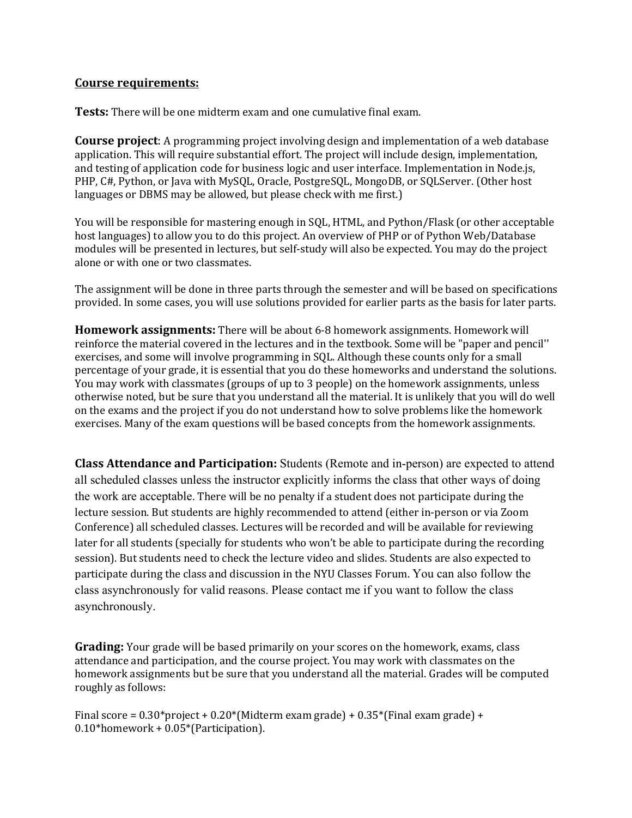## **Course requirements:**

**Tests:** There will be one midterm exam and one cumulative final exam.

**Course project**: A programming project involving design and implementation of a web database application. This will require substantial effort. The project will include design, implementation, and testing of application code for business logic and user interface. Implementation in Node.js, PHP, C#, Python, or Java with MySQL, Oracle, PostgreSQL, MongoDB, or SQLServer. (Other host languages or DBMS may be allowed, but please check with me first.)

You will be responsible for mastering enough in SQL, HTML, and Python/Flask (or other acceptable host languages) to allow you to do this project. An overview of PHP or of Python Web/Database modules will be presented in lectures, but self-study will also be expected. You may do the project alone or with one or two classmates.

The assignment will be done in three parts through the semester and will be based on specifications provided. In some cases, you will use solutions provided for earlier parts as the basis for later parts.

**Homework assignments:** There will be about 6-8 homework assignments. Homework will reinforce the material covered in the lectures and in the textbook. Some will be "paper and pencil'' exercises, and some will involve programming in SQL. Although these counts only for a small percentage of your grade, it is essential that you do these homeworks and understand the solutions. You may work with classmates (groups of up to 3 people) on the homework assignments, unless otherwise noted, but be sure that you understand all the material. It is unlikely that you will do well on the exams and the project if you do not understand how to solve problems like the homework exercises. Many of the exam questions will be based concepts from the homework assignments.

**Class Attendance and Participation:** Students (Remote and in-person) are expected to attend all scheduled classes unless the instructor explicitly informs the class that other ways of doing the work are acceptable. There will be no penalty if a student does not participate during the lecture session. But students are highly recommended to attend (either in-person or via Zoom Conference) all scheduled classes. Lectures will be recorded and will be available for reviewing later for all students (specially for students who won't be able to participate during the recording session). But students need to check the lecture video and slides. Students are also expected to participate during the class and discussion in the NYU Classes Forum. You can also follow the class asynchronously for valid reasons. Please contact me if you want to follow the class asynchronously.

**Grading:** Your grade will be based primarily on your scores on the homework, exams, class attendance and participation, and the course project. You may work with classmates on the homework assignments but be sure that you understand all the material. Grades will be computed roughly as follows:

Final score =  $0.30*$ project +  $0.20*$ (Midterm exam grade) +  $0.35*$ (Final exam grade) +  $0.10*$ homework +  $0.05*$ (Participation).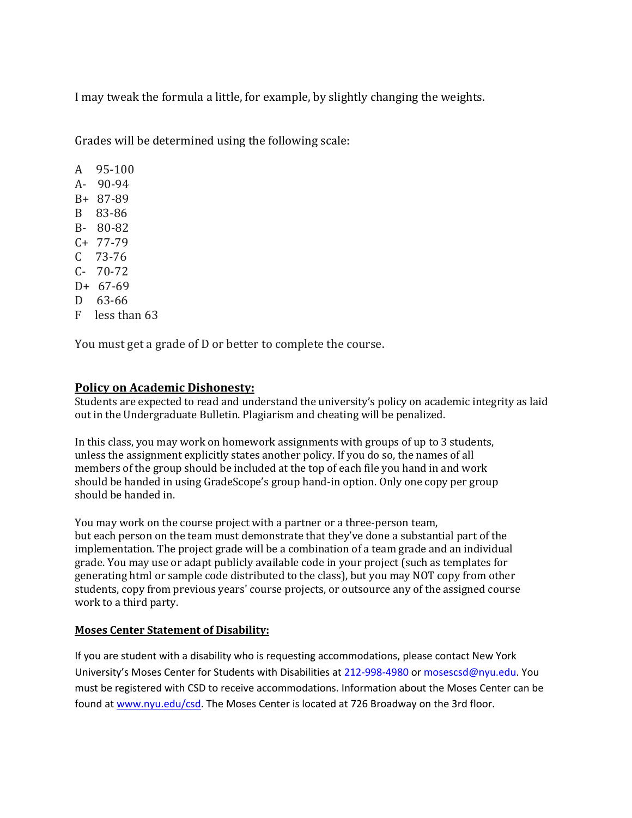I may tweak the formula a little, for example, by slightly changing the weights.

Grades will be determined using the following scale:

A 95-100  $A - 90-94$ B+ 87-89 B 83-86 B- 80-82  $C+ 77-79$  $C$  73-76  $C-70-72$  $D+ 67-69$ D 63-66  $F$  less than 63

You must get a grade of D or better to complete the course.

# **Policy on Academic Dishonesty:**

Students are expected to read and understand the university's policy on academic integrity as laid out in the Undergraduate Bulletin. Plagiarism and cheating will be penalized.

In this class, you may work on homework assignments with groups of up to  $3$  students, unless the assignment explicitly states another policy. If you do so, the names of all members of the group should be included at the top of each file you hand in and work should be handed in using GradeScope's group hand-in option. Only one copy per group should be handed in.

You may work on the course project with a partner or a three-person team, but each person on the team must demonstrate that they've done a substantial part of the implementation. The project grade will be a combination of a team grade and an individual grade. You may use or adapt publicly available code in your project (such as templates for generating html or sample code distributed to the class), but you may NOT copy from other students, copy from previous years' course projects, or outsource any of the assigned course work to a third party.

## **Moses Center Statement of Disability:**

If you are student with a disability who is requesting accommodations, please contact New York University's Moses Center for Students with Disabilities at 212-998-4980 or mosescsd@nyu.edu. You must be registered with CSD to receive accommodations. Information about the Moses Center can be found at www.nyu.edu/csd. The Moses Center is located at 726 Broadway on the 3rd floor.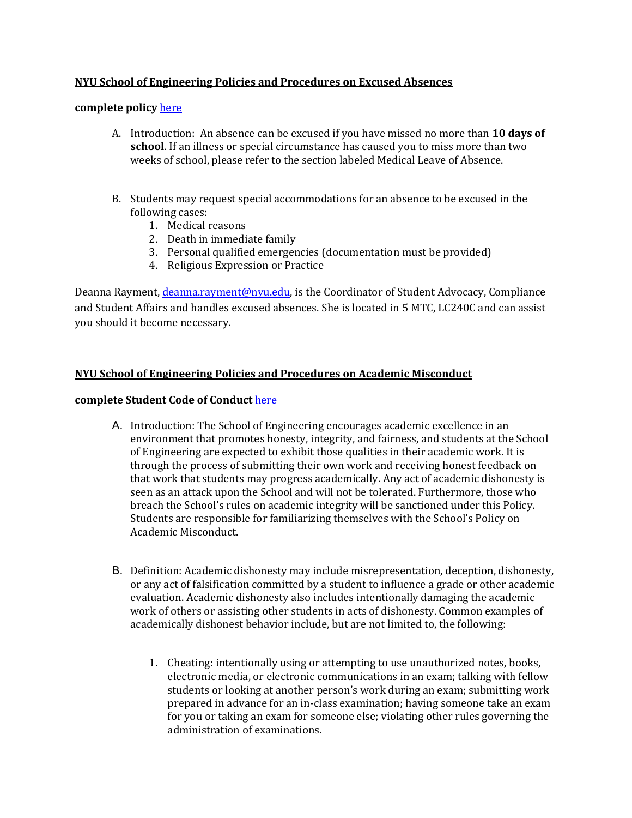# **NYU School of Engineering Policies and Procedures on Excused Absences**

### complete policy here

- A. Introduction: An absence can be excused if you have missed no more than 10 days of **school**. If an illness or special circumstance has caused you to miss more than two weeks of school, please refer to the section labeled Medical Leave of Absence.
- B. Students may request special accommodations for an absence to be excused in the following cases:
	- 1. Medical reasons
	- 2. Death in immediate family
	- 3. Personal qualified emergencies (documentation must be provided)
	- 4. Religious Expression or Practice

Deanna Rayment, *deanna.rayment@nyu.edu*, is the Coordinator of Student Advocacy, Compliance and Student Affairs and handles excused absences. She is located in 5 MTC, LC240C and can assist you should it become necessary.

### **NYU School of Engineering Policies and Procedures on Academic Misconduct**

### **complete Student Code of Conduct here**

- A. Introduction: The School of Engineering encourages academic excellence in an environment that promotes honesty, integrity, and fairness, and students at the School of Engineering are expected to exhibit those qualities in their academic work. It is through the process of submitting their own work and receiving honest feedback on that work that students may progress academically. Any act of academic dishonesty is seen as an attack upon the School and will not be tolerated. Furthermore, those who breach the School's rules on academic integrity will be sanctioned under this Policy. Students are responsible for familiarizing themselves with the School's Policy on Academic Misconduct.
- B. Definition: Academic dishonesty may include misrepresentation, deception, dishonesty, or any act of falsification committed by a student to influence a grade or other academic evaluation. Academic dishonesty also includes intentionally damaging the academic work of others or assisting other students in acts of dishonesty. Common examples of academically dishonest behavior include, but are not limited to, the following:
	- 1. Cheating: intentionally using or attempting to use unauthorized notes, books, electronic media, or electronic communications in an exam; talking with fellow students or looking at another person's work during an exam; submitting work prepared in advance for an in-class examination; having someone take an exam for you or taking an exam for someone else; violating other rules governing the administration of examinations.